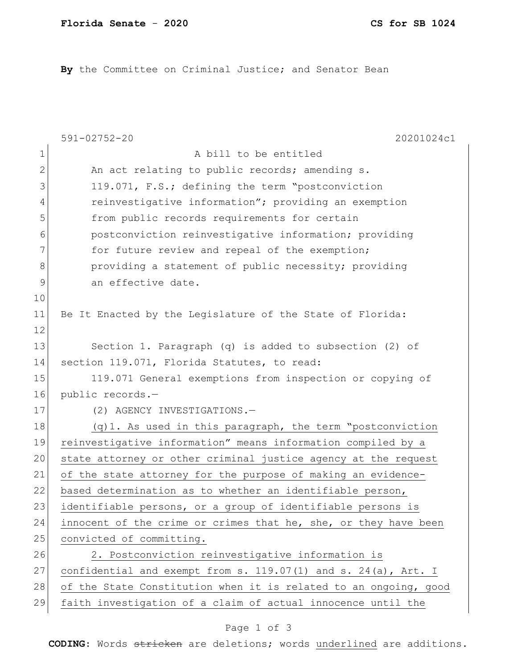**By** the Committee on Criminal Justice; and Senator Bean

|               | $591 - 02752 - 20$<br>20201024c1                                    |
|---------------|---------------------------------------------------------------------|
| $\mathbf 1$   | A bill to be entitled                                               |
| 2             | An act relating to public records; amending s.                      |
| 3             | 119.071, F.S.; defining the term "postconviction                    |
| 4             | reinvestigative information"; providing an exemption                |
| 5             | from public records requirements for certain                        |
| 6             | postconviction reinvestigative information; providing               |
| 7             | for future review and repeal of the exemption;                      |
| 8             | providing a statement of public necessity; providing                |
| $\mathcal{G}$ | an effective date.                                                  |
| 10            |                                                                     |
| 11            | Be It Enacted by the Legislature of the State of Florida:           |
| 12            |                                                                     |
| 13            | Section 1. Paragraph $(q)$ is added to subsection $(2)$ of          |
| 14            | section 119.071, Florida Statutes, to read:                         |
| 15            | 119.071 General exemptions from inspection or copying of            |
| 16            | public records.-                                                    |
| 17            | (2) AGENCY INVESTIGATIONS.-                                         |
| 18            | $(q)$ 1. As used in this paragraph, the term "postconviction        |
| 19            | reinvestigative information" means information compiled by a        |
| 20            | state attorney or other criminal justice agency at the request      |
| 21            | of the state attorney for the purpose of making an evidence-        |
| 22            | based determination as to whether an identifiable person,           |
| 23            | identifiable persons, or a group of identifiable persons is         |
| 24            | innocent of the crime or crimes that he, she, or they have been     |
| 25            | convicted of committing.                                            |
| 26            | 2. Postconviction reinvestigative information is                    |
| 27            | confidential and exempt from s. $119.07(1)$ and s. $24(a)$ , Art. I |
| 28            | of the State Constitution when it is related to an ongoing, good    |
| 29            | faith investigation of a claim of actual innocence until the        |

## Page 1 of 3

**CODING**: Words stricken are deletions; words underlined are additions.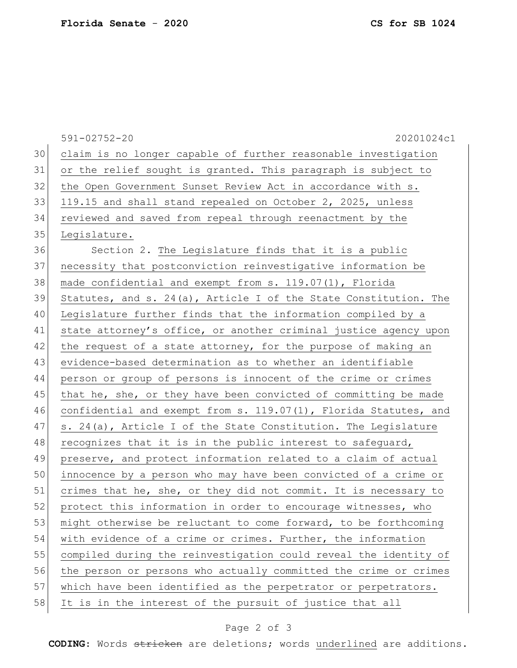|    | $591 - 02752 - 20$<br>20201024c1                                    |
|----|---------------------------------------------------------------------|
| 30 | claim is no longer capable of further reasonable investigation      |
| 31 | or the relief sought is granted. This paragraph is subject to       |
| 32 | the Open Government Sunset Review Act in accordance with s.         |
| 33 | 119.15 and shall stand repealed on October 2, 2025, unless          |
| 34 | reviewed and saved from repeal through reenactment by the           |
| 35 | Legislature.                                                        |
| 36 | Section 2. The Legislature finds that it is a public                |
| 37 | necessity that postconviction reinvestigative information be        |
| 38 | made confidential and exempt from s. 119.07(1), Florida             |
| 39 | Statutes, and s. $24(a)$ , Article I of the State Constitution. The |
| 40 | Legislature further finds that the information compiled by a        |
| 41 | state attorney's office, or another criminal justice agency upon    |
| 42 | the request of a state attorney, for the purpose of making an       |
| 43 | evidence-based determination as to whether an identifiable          |
| 44 | person or group of persons is innocent of the crime or crimes       |
| 45 | that he, she, or they have been convicted of committing be made     |
| 46 | confidential and exempt from s. 119.07(1), Florida Statutes, and    |
| 47 | s. 24(a), Article I of the State Constitution. The Legislature      |
| 48 | recognizes that it is in the public interest to safeguard,          |
| 49 | preserve, and protect information related to a claim of actual      |
| 50 | innocence by a person who may have been convicted of a crime or     |
| 51 | crimes that he, she, or they did not commit. It is necessary to     |
| 52 | protect this information in order to encourage witnesses, who       |
| 53 | might otherwise be reluctant to come forward, to be forthcoming     |
| 54 | with evidence of a crime or crimes. Further, the information        |
| 55 | compiled during the reinvestigation could reveal the identity of    |
| 56 | the person or persons who actually committed the crime or crimes    |
| 57 | which have been identified as the perpetrator or perpetrators.      |
| 58 | It is in the interest of the pursuit of justice that all            |
|    |                                                                     |

## Page 2 of 3

**CODING**: Words stricken are deletions; words underlined are additions.